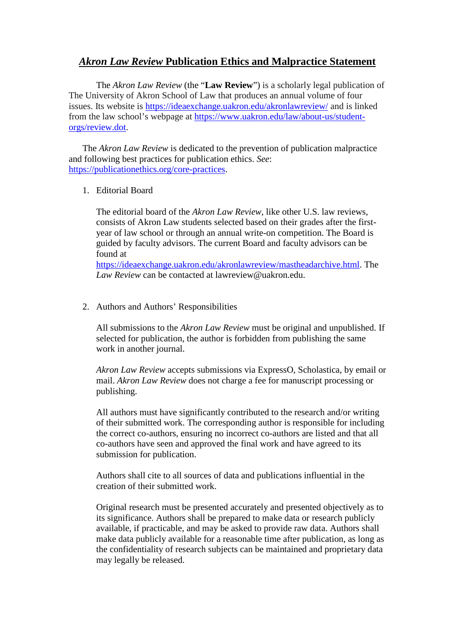## *Akron Law Review* **Publication Ethics and Malpractice Statement**

The *Akron Law Review* (the "**Law Review**") is a scholarly legal publication of The University of Akron School of Law that produces an annual volume of four issues. Its website is<https://ideaexchange.uakron.edu/akronlawreview/> and is linked from the law school's webpage at [https://www.uakron.edu/law/about-us/student](https://www.uakron.edu/law/about-us/student-orgs/review.dot)[orgs/review.dot.](https://www.uakron.edu/law/about-us/student-orgs/review.dot)

The *Akron Law Review* is dedicated to the prevention of publication malpractice and following best practices for publication ethics. *See*: [https://publicationethics.org/core-practices.](https://publicationethics.org/core-practices)

1. Editorial Board

The editorial board of the *Akron Law Review*, like other U.S. law reviews, consists of Akron Law students selected based on their grades after the firstyear of law school or through an annual write-on competition. The Board is guided by faculty advisors. The current Board and faculty advisors can be found at

[https://ideaexchange.uakron.edu/akronlawreview/mastheadarchive.html.](https://ideaexchange.uakron.edu/akronlawreview/mastheadarchive.html) The *Law Review* can be contacted at lawreview@uakron.edu.

2. Authors and Authors' Responsibilities

All submissions to the *Akron Law Review* must be original and unpublished. If selected for publication, the author is forbidden from publishing the same work in another journal.

*Akron Law Review* accepts submissions via ExpressO, Scholastica, by email or mail. *Akron Law Review* does not charge a fee for manuscript processing or publishing.

All authors must have significantly contributed to the research and/or writing of their submitted work. The corresponding author is responsible for including the correct co-authors, ensuring no incorrect co-authors are listed and that all co-authors have seen and approved the final work and have agreed to its submission for publication.

Authors shall cite to all sources of data and publications influential in the creation of their submitted work.

Original research must be presented accurately and presented objectively as to its significance. Authors shall be prepared to make data or research publicly available, if practicable, and may be asked to provide raw data. Authors shall make data publicly available for a reasonable time after publication, as long as the confidentiality of research subjects can be maintained and proprietary data may legally be released.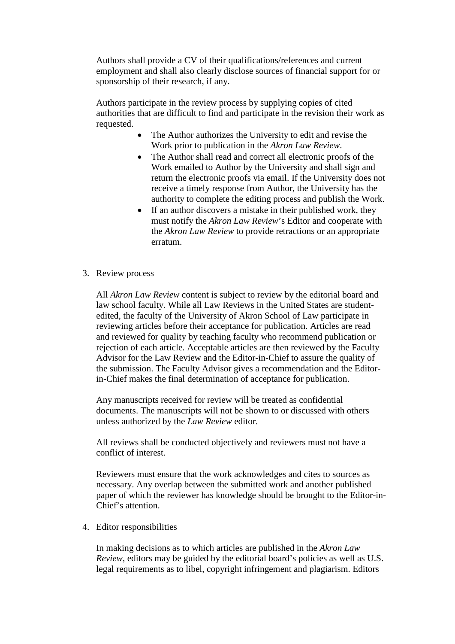Authors shall provide a CV of their qualifications/references and current employment and shall also clearly disclose sources of financial support for or sponsorship of their research, if any.

Authors participate in the review process by supplying copies of cited authorities that are difficult to find and participate in the revision their work as requested.

- The Author authorizes the University to edit and revise the Work prior to publication in the *Akron Law Review*.
- The Author shall read and correct all electronic proofs of the Work emailed to Author by the University and shall sign and return the electronic proofs via email. If the University does not receive a timely response from Author, the University has the authority to complete the editing process and publish the Work.
- If an author discovers a mistake in their published work, they must notify the *Akron Law Review*'s Editor and cooperate with the *Akron Law Review* to provide retractions or an appropriate erratum.
- 3. Review process

All *Akron Law Review* content is subject to review by the editorial board and law school faculty. While all Law Reviews in the United States are studentedited, the faculty of the University of Akron School of Law participate in reviewing articles before their acceptance for publication. Articles are read and reviewed for quality by teaching faculty who recommend publication or rejection of each article. Acceptable articles are then reviewed by the Faculty Advisor for the Law Review and the Editor-in-Chief to assure the quality of the submission. The Faculty Advisor gives a recommendation and the Editorin-Chief makes the final determination of acceptance for publication.

Any manuscripts received for review will be treated as confidential documents. The manuscripts will not be shown to or discussed with others unless authorized by the *Law Review* editor.

All reviews shall be conducted objectively and reviewers must not have a conflict of interest.

Reviewers must ensure that the work acknowledges and cites to sources as necessary. Any overlap between the submitted work and another published paper of which the reviewer has knowledge should be brought to the Editor-in-Chief's attention.

4. Editor responsibilities

In making decisions as to which articles are published in the *Akron Law Review*, editors may be guided by the editorial board's policies as well as U.S. legal requirements as to libel, copyright infringement and plagiarism. Editors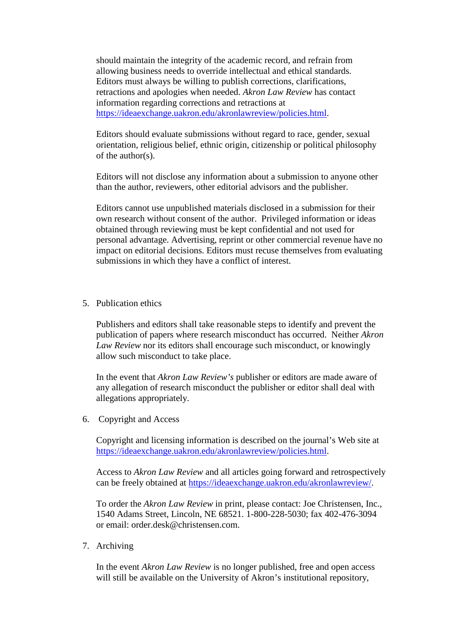should maintain the integrity of the academic record, and refrain from allowing business needs to override intellectual and ethical standards. Editors must always be willing to publish corrections, clarifications, retractions and apologies when needed. *Akron Law Review* has contact information regarding corrections and retractions at [https://ideaexchange.uakron.edu/akronlawreview/policies.html.](https://ideaexchange.uakron.edu/akronlawreview/policies.html)

Editors should evaluate submissions without regard to race, gender, sexual orientation, religious belief, ethnic origin, citizenship or political philosophy of the author(s).

Editors will not disclose any information about a submission to anyone other than the author, reviewers, other editorial advisors and the publisher.

Editors cannot use unpublished materials disclosed in a submission for their own research without consent of the author. Privileged information or ideas obtained through reviewing must be kept confidential and not used for personal advantage. Advertising, reprint or other commercial revenue have no impact on editorial decisions. Editors must recuse themselves from evaluating submissions in which they have a conflict of interest.

5. Publication ethics

Publishers and editors shall take reasonable steps to identify and prevent the publication of papers where research misconduct has occurred. Neither *Akron Law Review* nor its editors shall encourage such misconduct, or knowingly allow such misconduct to take place.

In the event that *Akron Law Review's* publisher or editors are made aware of any allegation of research misconduct the publisher or editor shall deal with allegations appropriately.

6. Copyright and Access

Copyright and licensing information is described on the journal's Web site at [https://ideaexchange.uakron.edu/akronlawreview/policies.html.](https://ideaexchange.uakron.edu/akronlawreview/policies.html)

Access to *Akron Law Review* and all articles going forward and retrospectively can be freely obtained at [https://ideaexchange.uakron.edu/akronlawreview/.](https://ideaexchange.uakron.edu/akronlawreview/)

To order the *Akron Law Review* in print, please contact: Joe Christensen, Inc., 1540 Adams Street, Lincoln, NE 68521. 1-800-228-5030; fax 402-476-3094 or email: order.desk@christensen.com.

7. Archiving

In the event *Akron Law Review* is no longer published, free and open access will still be available on the University of Akron's institutional repository,